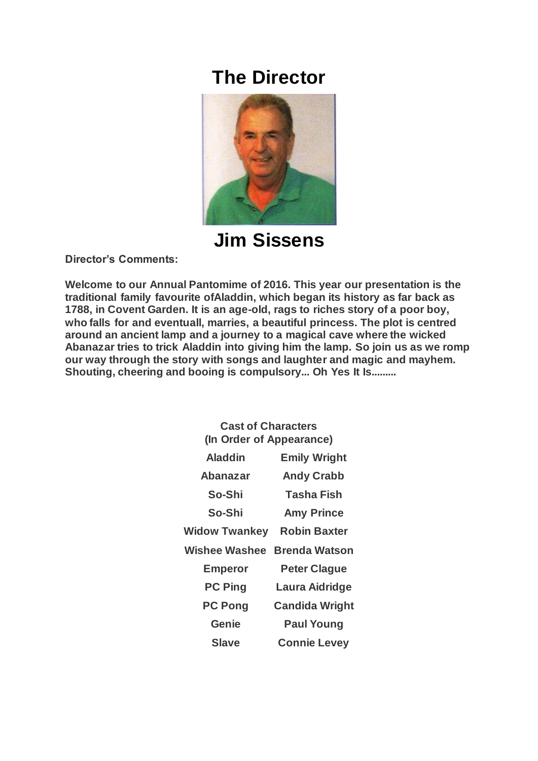## **The Director**



**Jim Sissens**

**Director's Comments:**

**Welcome to our Annual Pantomime of 2016. This year our presentation is the traditional family favourite ofAladdin, which began its history as far back as 1788, in Covent Garden. It is an age-old, rags to riches story of a poor boy, who falls for and eventuall, marries, a beautiful princess. The plot is centred around an ancient lamp and a journey to a magical cave where the wicked Abanazar tries to trick Aladdin into giving him the lamp. So join us as we romp our way through the story with songs and laughter and magic and mayhem. Shouting, cheering and booing is compulsory... Oh Yes It Is.........**

| <b>Cast of Characters</b>         |                       |
|-----------------------------------|-----------------------|
| (In Order of Appearance)          |                       |
| <b>Aladdin</b>                    | <b>Emily Wright</b>   |
| <b>Abanazar</b>                   | <b>Andy Crabb</b>     |
| So-Shi                            | <b>Tasha Fish</b>     |
| So-Shi                            | <b>Amy Prince</b>     |
| <b>Widow Twankey Robin Baxter</b> |                       |
| <b>Wishee Washee</b>              | <b>Brenda Watson</b>  |
| <b>Emperor</b>                    | <b>Peter Clague</b>   |
| <b>PC Ping</b>                    | Laura Aidridge        |
| <b>PC Pong</b>                    | <b>Candida Wright</b> |
| Genie                             | <b>Paul Young</b>     |
| Slave                             | <b>Connie Levey</b>   |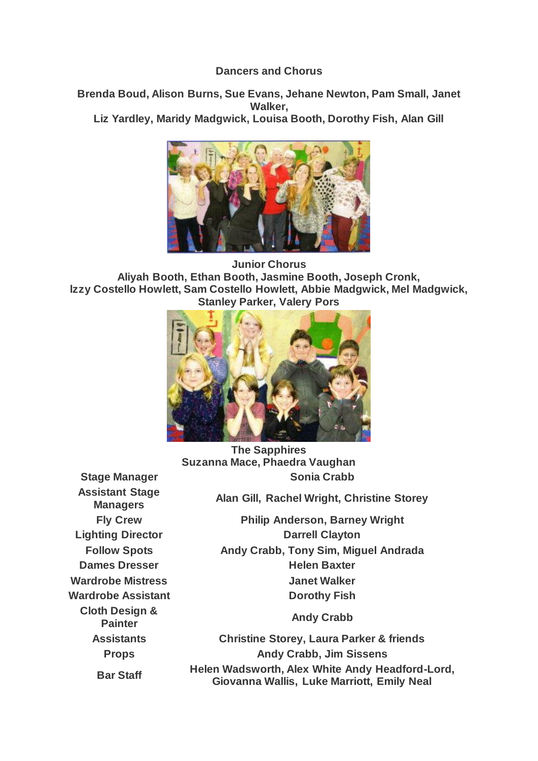## **Dancers and Chorus**

**Brenda Boud, Alison Burns, Sue Evans, Jehane Newton, Pam Small, Janet Walker, Liz Yardley, Maridy Madgwick, Louisa Booth, Dorothy Fish, Alan Gill**



**Junior Chorus Aliyah Booth, Ethan Booth, Jasmine Booth, Joseph Cronk, lzzy Costello Howlett, Sam Costello Howlett, Abbie Madgwick, Mel Madgwick, Stanley Parker, Valery Pors**



**The Sapphires Suzanna Mace, Phaedra Vaughan Stage Manager Sonia Crabb**

**Assistant Stage Cloth Design & Painter Contract Contract Crabb**<br> **Painter Andy Crabb** 

**Managers Alan Gill, Rachel Wright, Christine Storey**

**Fly Crew Philip Anderson, Barney Wright Lighting Director Darrell Clayton Follow Spots Andy Crabb, Tony Sim, Miguel Andrada Dames Dresser Helen Baxter Wardrobe Mistress Janet Walker Wardrobe Assistant Dorothy Fish** 

**Assistants Christine Storey, Laura Parker & friends Props Andy Crabb, Jim Sissens Bar Staff Helen Wadsworth, Alex White Andy Headford-Lord, Giovanna Wallis, Luke Marriott, Emily Neal**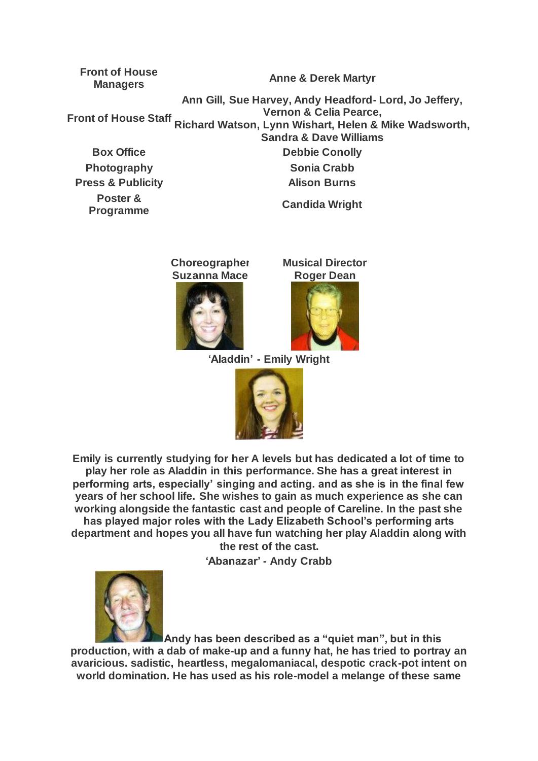**Front of House** 

**Managers Anne & Derek Martyr**

**Front of House Staff Vernon & Celia Pearce, Ann Gill, Sue Harvey, Andy Headford- Lord, Jo Jeffery, Richard Watson, Lynn Wishart, Helen & Mike Wadsworth, Sandra & Dave Williams**

**Photography Sonia Crabb Press & Publicity Alison Burns Poster & Programme Candida Wright**

**Box Office Conolly** 

**Choreographer Suzanna Mace**





**'Aladdin' - Emily Wright**



**Emily is currently studying for her A levels but has dedicated a lot of time to play her role as Aladdin in this performance. She has a great interest in performing arts, especially' singing and acting. and as she is in the final few years of her school life. She wishes to gain as much experience as she can working alongside the fantastic cast and people of Careline. In the past she has played major roles with the Lady Elizabeth School's performing arts department and hopes you all have fun watching her play Aladdin along with the rest of the cast.**

**'Abanazar' - Andy Crabb**



**Andy has been described as a "quiet man", but in this production, with a dab of make-up and a funny hat, he has tried to portray an avaricious. sadistic, heartless, megalomaniacal, despotic crack-pot intent on world domination. He has used as his role-model a melange of these same**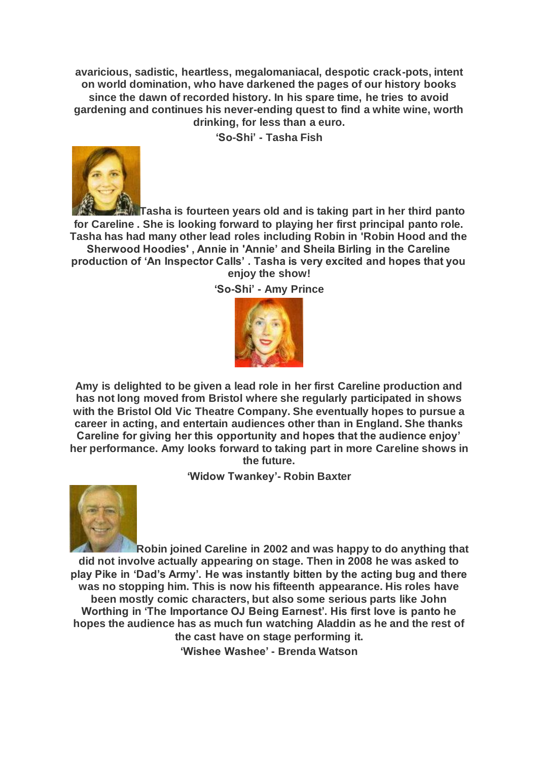**avaricious, sadistic, heartless, megalomaniacal, despotic crack-pots, intent on world domination, who have darkened the pages of our history books since the dawn of recorded history. In his spare time, he tries to avoid gardening and continues his never-ending quest to find a white wine, worth drinking, for less than a euro.**

**'So-Shi' - Tasha Fish**



**Tasha is fourteen years old and is taking part in her third panto for Careline . She is looking forward to playing her first principal panto role. Tasha has had many other lead roles including Robin in 'Robin Hood and the Sherwood Hoodies' , Annie in 'Annie' and Sheila Birling in the Careline production of 'An Inspector Calls' . Tasha is very excited and hopes that you enjoy the show!**

**'So-Shi' - Amy Prince**



**Amy is delighted to be given a lead role in her first Careline production and has not long moved from Bristol where she regularly participated in shows with the Bristol Old Vic Theatre Company. She eventually hopes to pursue a career in acting, and entertain audiences other than in England. She thanks Careline for giving her this opportunity and hopes that the audience enjoy' her performance. Amy looks forward to taking part in more Careline shows in the future.**

**'Widow Twankey'- Robin Baxter**



**Robin joined Careline in 2002 and was happy to do anything that did not involve actually appearing on stage. Then in 2008 he was asked to play Pike in 'Dad's Army'. He was instantly bitten by the acting bug and there was no stopping him. This is now his fifteenth appearance. His roles have been mostly comic characters, but also some serious parts like John Worthing in 'The Importance OJ Being Earnest'. His first love is panto he hopes the audience has as much fun watching Aladdin as he and the rest of the cast have on stage performing it. 'Wishee Washee' - Brenda Watson**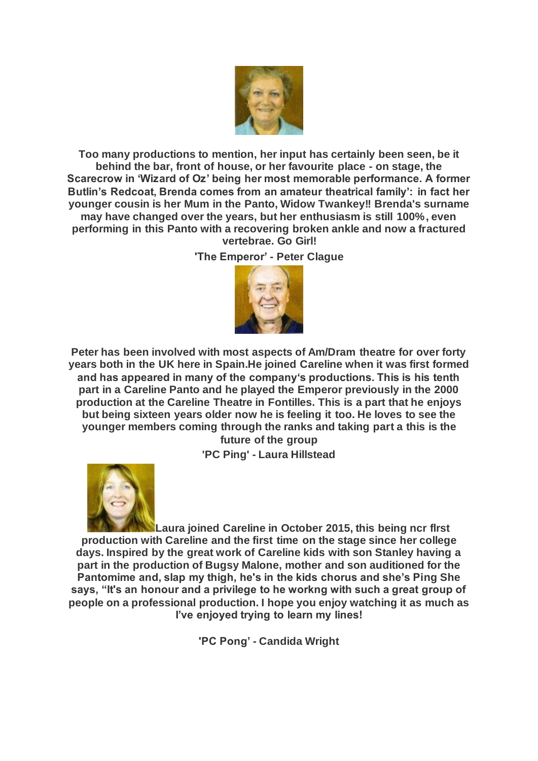

**Too many productions to mention, her input has certainly been seen, be it behind the bar, front of house, or her favourite place - on stage, the Scarecrow in 'Wizard of Oz' being her most memorable performance. A former Butlin's Redcoat, Brenda comes from an amateur theatrical family': in fact her younger cousin is her Mum in the Panto, Widow Twankey!! Brenda's surname may have changed over the years, but her enthusiasm is still 100%, even performing in this Panto with a recovering broken ankle and now a fractured vertebrae. Go Girl!**

**'The Emperor' - Peter Clague**



**Peter has been involved with most aspects of Am/Dram theatre for over forty years both in the UK here in Spain.He joined Careline when it was first formed and has appeared in many of the company's productions. This is his tenth part in a Careline Panto and he played the Emperor previously in the 2000 production at the Careline Theatre in Fontilles. This is a part that he enjoys but being sixteen years older now he is feeling it too. He loves to see the younger members coming through the ranks and taking part a this is the future of the group**

**'PC Ping' - Laura Hillstead**



**Laura joined CareIine in October 2015, this being ncr flrst production with Careline and the first time on the stage since her college days. Inspired by the great work of Careline kids with son Stanley having a part in the production of Bugsy Malone, mother and son auditioned for the Pantomime and, slap my thigh, he's in the kids chorus and she's Ping She says, "It's an honour and a privilege to he workng with such a great group of people on a professional production. I hope you enjoy watching it as much as I've enjoyed trying to learn my lines!**

**'PC Pong' - Candida Wright**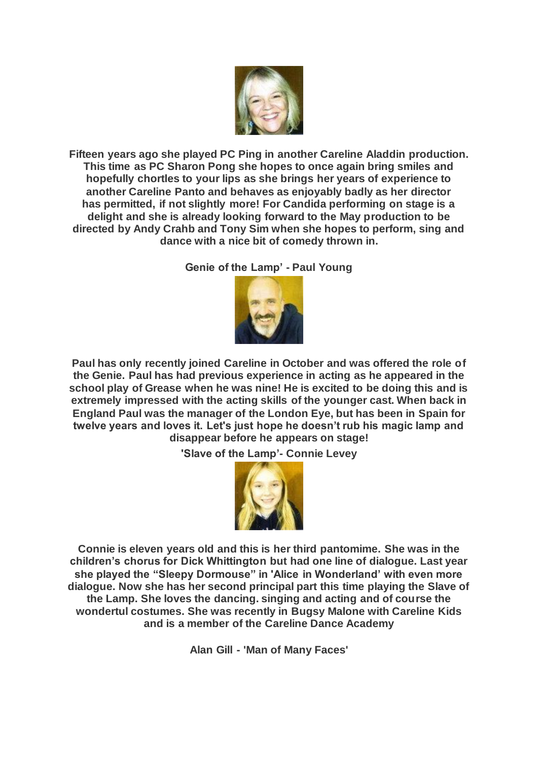

**Fifteen years ago she played PC Ping in another Careline Aladdin production. This time as PC Sharon Pong she hopes to once again bring smiles and hopefully chortles to your lips as she brings her years of experience to another Careline Panto and behaves as enjoyably badly as her director has permitted, if not slightly more! For Candida performing on stage is a delight and she is already looking forward to the May production to be directed by Andy Crahb and Tony Sim when she hopes to perform, sing and dance with a nice bit of comedy thrown in.**

**Genie of the Lamp' - Paul Young**



**Paul has only recently joined Careline in October and was offered the role of the Genie. Paul has had previous experience in acting as he appeared in the school play of Grease when he was nine! He is excited to be doing this and is extremely impressed with the acting skills of the younger cast. When back in England Paul was the manager of the London Eye, but has been in Spain for twelve years and loves it. Let's just hope he doesn't rub his magic lamp and disappear before he appears on stage!**

**'Slave of the Lamp'- Connie Levey**



**Connie is eleven years old and this is her third pantomime. She was in the children's chorus for Dick Whittington but had one line of dialogue. Last year she played the "Sleepy Dormouse" in 'Alice in Wonderland' with even more dialogue. Now she has her second principal part this time playing the Slave of the Lamp. She loves the dancing. singing and acting and of course the wondertul costumes. She was recently in Bugsy Malone with Careline Kids and is a member of the Careline Dance Academy**

**Alan Gill - 'Man of Many Faces'**